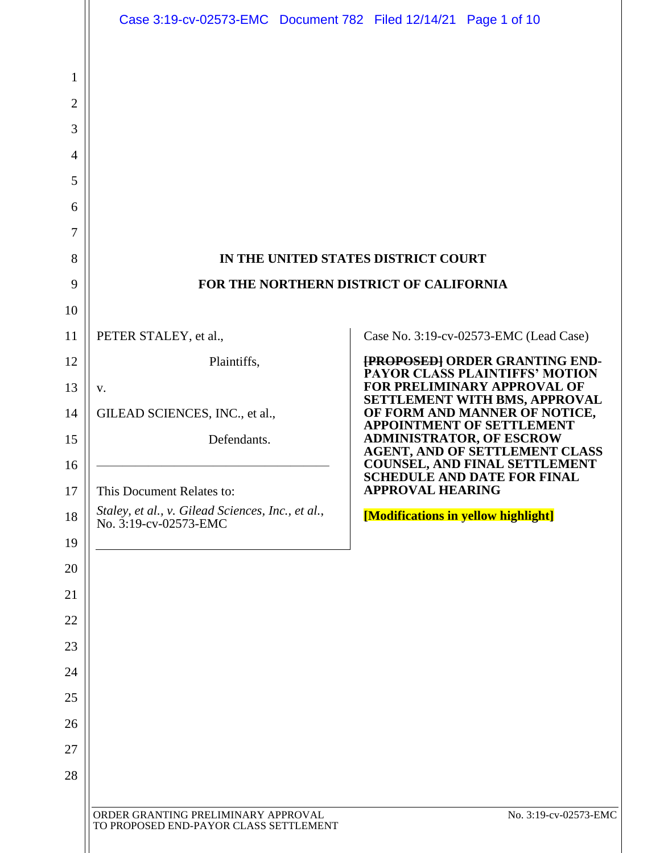|                | Case 3:19-cv-02573-EMC  Document 782  Filed 12/14/21  Page 1 of 10            |                                                                                                    |
|----------------|-------------------------------------------------------------------------------|----------------------------------------------------------------------------------------------------|
|                |                                                                               |                                                                                                    |
| 1              |                                                                               |                                                                                                    |
| $\overline{2}$ |                                                                               |                                                                                                    |
| 3              |                                                                               |                                                                                                    |
| 4              |                                                                               |                                                                                                    |
| 5              |                                                                               |                                                                                                    |
| 6<br>7         |                                                                               |                                                                                                    |
| 8              |                                                                               | IN THE UNITED STATES DISTRICT COURT                                                                |
| 9              | FOR THE NORTHERN DISTRICT OF CALIFORNIA                                       |                                                                                                    |
| 10             |                                                                               |                                                                                                    |
| 11             | PETER STALEY, et al.,                                                         | Case No. 3:19-cv-02573-EMC (Lead Case)                                                             |
| 12             | Plaintiffs,                                                                   | <b>[PROPOSED] ORDER GRANTING END-</b>                                                              |
| 13             | V.                                                                            | <b>PAYOR CLASS PLAINTIFFS' MOTION</b><br>FOR PRELIMINARY APPROVAL OF                               |
| 14             | GILEAD SCIENCES, INC., et al.,                                                | SETTLEMENT WITH BMS, APPROVAL<br>OF FORM AND MANNER OF NOTICE,<br><b>APPOINTMENT OF SETTLEMENT</b> |
| 15             | Defendants.                                                                   | <b>ADMINISTRATOR, OF ESCROW</b><br><b>AGENT, AND OF SETTLEMENT CLASS</b>                           |
| 16             |                                                                               | <b>COUNSEL, AND FINAL SETTLEMENT</b><br><b>SCHEDULE AND DATE FOR FINAL</b>                         |
| 17             | This Document Relates to:                                                     | <b>APPROVAL HEARING</b>                                                                            |
| 18             | Staley, et al., v. Gilead Sciences, Inc., et al.,<br>No. 3:19-cv-02573-EMC    | [Modifications in yellow highlight]                                                                |
| 19             |                                                                               |                                                                                                    |
| 20             |                                                                               |                                                                                                    |
| 21<br>22       |                                                                               |                                                                                                    |
| 23             |                                                                               |                                                                                                    |
| 24             |                                                                               |                                                                                                    |
| 25             |                                                                               |                                                                                                    |
| 26             |                                                                               |                                                                                                    |
| 27             |                                                                               |                                                                                                    |
| 28             |                                                                               |                                                                                                    |
|                |                                                                               |                                                                                                    |
|                | ORDER GRANTING PRELIMINARY APPROVAL<br>TO PROPOSED END-PAYOR CLASS SETTLEMENT | No. 3:19-cv-02573-EMC                                                                              |
|                |                                                                               |                                                                                                    |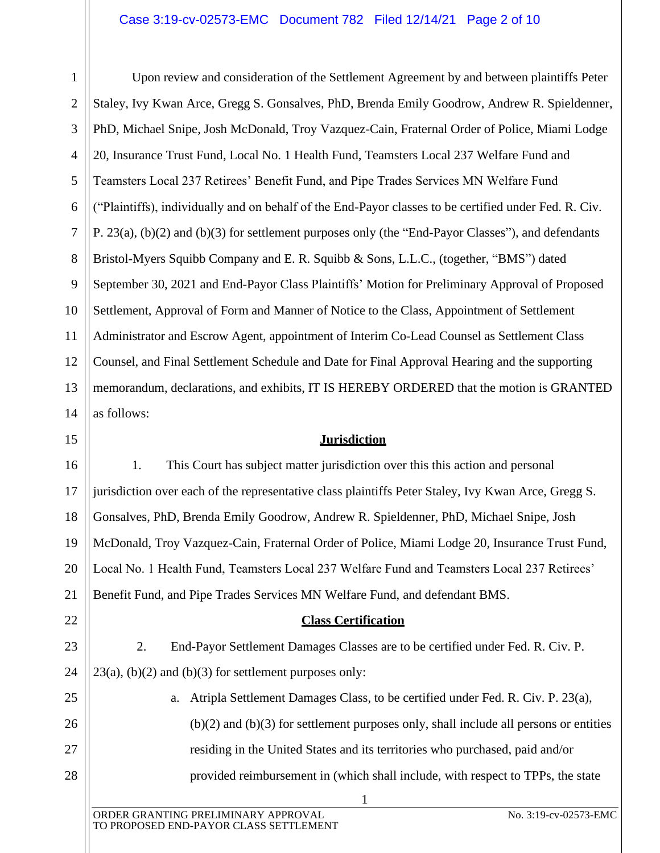## Case 3:19-cv-02573-EMC Document 782 Filed 12/14/21 Page 2 of 10

1  $\mathcal{L}$ 3 4 5 6 7 8 9 10 11 12 13 14 Upon review and consideration of the Settlement Agreement by and between plaintiffs Peter Staley, Ivy Kwan Arce, Gregg S. Gonsalves, PhD, Brenda Emily Goodrow, Andrew R. Spieldenner, PhD, Michael Snipe, Josh McDonald, Troy Vazquez-Cain, Fraternal Order of Police, Miami Lodge 20, Insurance Trust Fund, Local No. 1 Health Fund, Teamsters Local 237 Welfare Fund and Teamsters Local 237 Retirees' Benefit Fund, and Pipe Trades Services MN Welfare Fund ("Plaintiffs), individually and on behalf of the End-Payor classes to be certified under Fed. R. Civ. P. 23(a), (b)(2) and (b)(3) for settlement purposes only (the "End-Payor Classes"), and defendants Bristol-Myers Squibb Company and E. R. Squibb & Sons, L.L.C., (together, "BMS") dated September 30, 2021 and End-Payor Class Plaintiffs' Motion for Preliminary Approval of Proposed Settlement, Approval of Form and Manner of Notice to the Class, Appointment of Settlement Administrator and Escrow Agent, appointment of Interim Co-Lead Counsel as Settlement Class Counsel, and Final Settlement Schedule and Date for Final Approval Hearing and the supporting memorandum, declarations, and exhibits, IT IS HEREBY ORDERED that the motion is GRANTED as follows:

## **Jurisdiction**

16 17 18 19 20 21 1. This Court has subject matter jurisdiction over this this action and personal jurisdiction over each of the representative class plaintiffs Peter Staley, Ivy Kwan Arce, Gregg S. Gonsalves, PhD, Brenda Emily Goodrow, Andrew R. Spieldenner, PhD, Michael Snipe, Josh McDonald, Troy Vazquez-Cain, Fraternal Order of Police, Miami Lodge 20, Insurance Trust Fund, Local No. 1 Health Fund, Teamsters Local 237 Welfare Fund and Teamsters Local 237 Retirees' Benefit Fund, and Pipe Trades Services MN Welfare Fund, and defendant BMS.

## **Class Certification**

2. End-Payor Settlement Damages Classes are to be certified under Fed. R. Civ. P.  $23(a)$ , (b)(2) and (b)(3) for settlement purposes only:

> a. Atripla Settlement Damages Class, to be certified under Fed. R. Civ. P. 23(a),  $(b)(2)$  and  $(b)(3)$  for settlement purposes only, shall include all persons or entities residing in the United States and its territories who purchased, paid and/or provided reimbursement in (which shall include, with respect to TPPs, the state

> > 1

15

22

23

24

25

26

27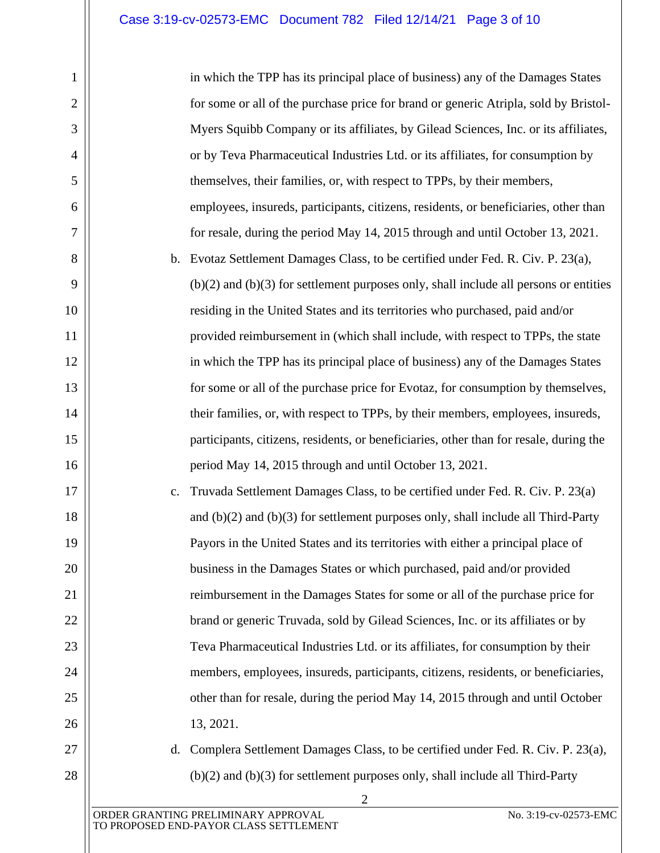in which the TPP has its principal place of business) any of the Damages States for some or all of the purchase price for brand or generic Atripla, sold by Bristol-Myers Squibb Company or its affiliates, by Gilead Sciences, Inc. or its affiliates, or by Teva Pharmaceutical Industries Ltd. or its affiliates, for consumption by themselves, their families, or, with respect to TPPs, by their members, employees, insureds, participants, citizens, residents, or beneficiaries, other than for resale, during the period May 14, 2015 through and until October 13, 2021. b. Evotaz Settlement Damages Class, to be certified under Fed. R. Civ. P. 23(a),

(b)(2) and (b)(3) for settlement purposes only, shall include all persons or entities residing in the United States and its territories who purchased, paid and/or provided reimbursement in (which shall include, with respect to TPPs, the state in which the TPP has its principal place of business) any of the Damages States for some or all of the purchase price for Evotaz, for consumption by themselves, their families, or, with respect to TPPs, by their members, employees, insureds, participants, citizens, residents, or beneficiaries, other than for resale, during the period May 14, 2015 through and until October 13, 2021.

c. Truvada Settlement Damages Class, to be certified under Fed. R. Civ. P. 23(a) and (b)(2) and (b)(3) for settlement purposes only, shall include all Third-Party Payors in the United States and its territories with either a principal place of business in the Damages States or which purchased, paid and/or provided reimbursement in the Damages States for some or all of the purchase price for brand or generic Truvada, sold by Gilead Sciences, Inc. or its affiliates or by Teva Pharmaceutical Industries Ltd. or its affiliates, for consumption by their members, employees, insureds, participants, citizens, residents, or beneficiaries, other than for resale, during the period May 14, 2015 through and until October 13, 2021.

# 27 28

1

2

3

4

5

6

7

8

9

10

11

12

13

14

15

16

17

18

19

20

21

22

23

24

25

26

d. Complera Settlement Damages Class, to be certified under Fed. R. Civ. P. 23(a), (b)(2) and (b)(3) for settlement purposes only, shall include all Third-Party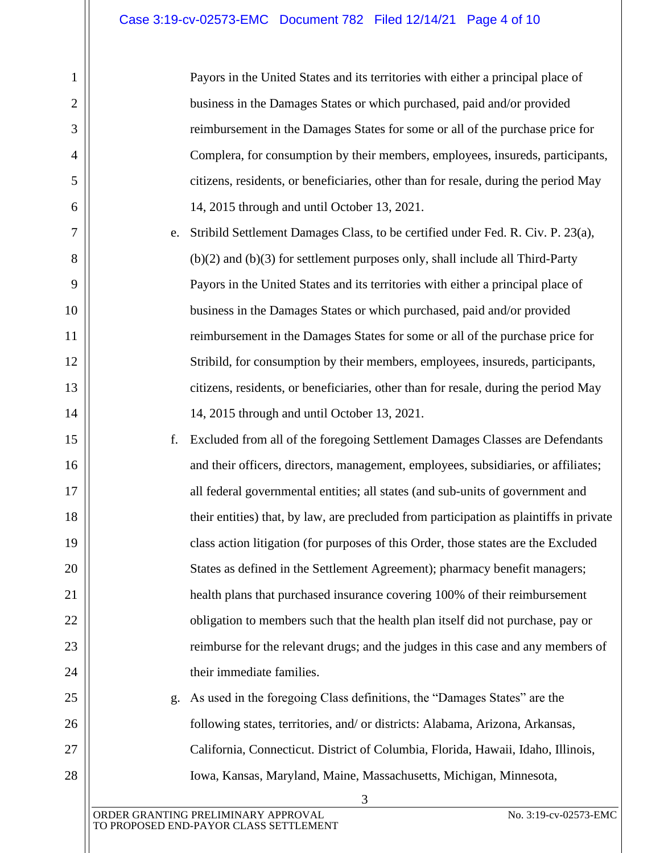1

2

3

4

5

6

7

8

9

10

11

12

13

14

15

16

17

18

19

20

21

22

23

24

25

26

27

28

Payors in the United States and its territories with either a principal place of business in the Damages States or which purchased, paid and/or provided reimbursement in the Damages States for some or all of the purchase price for Complera, for consumption by their members, employees, insureds, participants, citizens, residents, or beneficiaries, other than for resale, during the period May 14, 2015 through and until October 13, 2021.

e. Stribild Settlement Damages Class, to be certified under Fed. R. Civ. P. 23(a), (b)(2) and (b)(3) for settlement purposes only, shall include all Third-Party Payors in the United States and its territories with either a principal place of business in the Damages States or which purchased, paid and/or provided reimbursement in the Damages States for some or all of the purchase price for Stribild, for consumption by their members, employees, insureds, participants, citizens, residents, or beneficiaries, other than for resale, during the period May 14, 2015 through and until October 13, 2021.

f. Excluded from all of the foregoing Settlement Damages Classes are Defendants and their officers, directors, management, employees, subsidiaries, or affiliates; all federal governmental entities; all states (and sub-units of government and their entities) that, by law, are precluded from participation as plaintiffs in private class action litigation (for purposes of this Order, those states are the Excluded States as defined in the Settlement Agreement); pharmacy benefit managers; health plans that purchased insurance covering 100% of their reimbursement obligation to members such that the health plan itself did not purchase, pay or reimburse for the relevant drugs; and the judges in this case and any members of their immediate families.

g. As used in the foregoing Class definitions, the "Damages States" are the following states, territories, and/ or districts: Alabama, Arizona, Arkansas, California, Connecticut. District of Columbia, Florida, Hawaii, Idaho, Illinois, Iowa, Kansas, Maryland, Maine, Massachusetts, Michigan, Minnesota,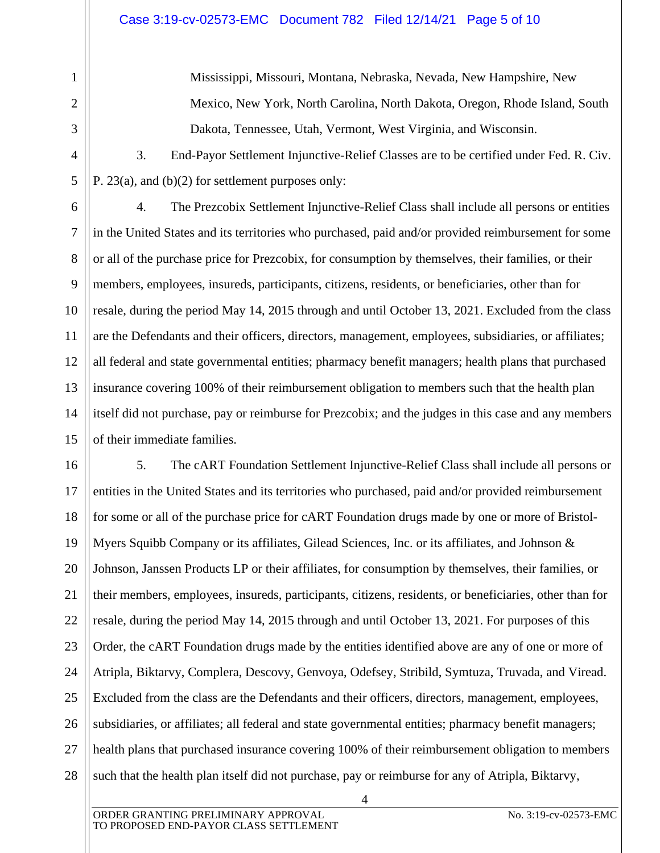1

2

3

4

5

Mississippi, Missouri, Montana, Nebraska, Nevada, New Hampshire, New Mexico, New York, North Carolina, North Dakota, Oregon, Rhode Island, South Dakota, Tennessee, Utah, Vermont, West Virginia, and Wisconsin.

3. End-Payor Settlement Injunctive-Relief Classes are to be certified under Fed. R. Civ. P. 23(a), and (b)(2) for settlement purposes only:

6 7 8 9 10 11 12 13 14 15 4. The Prezcobix Settlement Injunctive-Relief Class shall include all persons or entities in the United States and its territories who purchased, paid and/or provided reimbursement for some or all of the purchase price for Prezcobix, for consumption by themselves, their families, or their members, employees, insureds, participants, citizens, residents, or beneficiaries, other than for resale, during the period May 14, 2015 through and until October 13, 2021. Excluded from the class are the Defendants and their officers, directors, management, employees, subsidiaries, or affiliates; all federal and state governmental entities; pharmacy benefit managers; health plans that purchased insurance covering 100% of their reimbursement obligation to members such that the health plan itself did not purchase, pay or reimburse for Prezcobix; and the judges in this case and any members of their immediate families.

16 17 18 19 20 21 22 23 24 25 26 27 28 5. The cART Foundation Settlement Injunctive-Relief Class shall include all persons or entities in the United States and its territories who purchased, paid and/or provided reimbursement for some or all of the purchase price for cART Foundation drugs made by one or more of Bristol-Myers Squibb Company or its affiliates, Gilead Sciences, Inc. or its affiliates, and Johnson  $\&$ Johnson, Janssen Products LP or their affiliates, for consumption by themselves, their families, or their members, employees, insureds, participants, citizens, residents, or beneficiaries, other than for resale, during the period May 14, 2015 through and until October 13, 2021. For purposes of this Order, the cART Foundation drugs made by the entities identified above are any of one or more of Atripla, Biktarvy, Complera, Descovy, Genvoya, Odefsey, Stribild, Symtuza, Truvada, and Viread. Excluded from the class are the Defendants and their officers, directors, management, employees, subsidiaries, or affiliates; all federal and state governmental entities; pharmacy benefit managers; health plans that purchased insurance covering 100% of their reimbursement obligation to members such that the health plan itself did not purchase, pay or reimburse for any of Atripla, Biktarvy,

4

ORDER GRANTING PRELIMINARY APPROVAL NO. 3:19-cv-02573-EMC TO PROPOSED END-PAYOR CLASS SETTLEMENT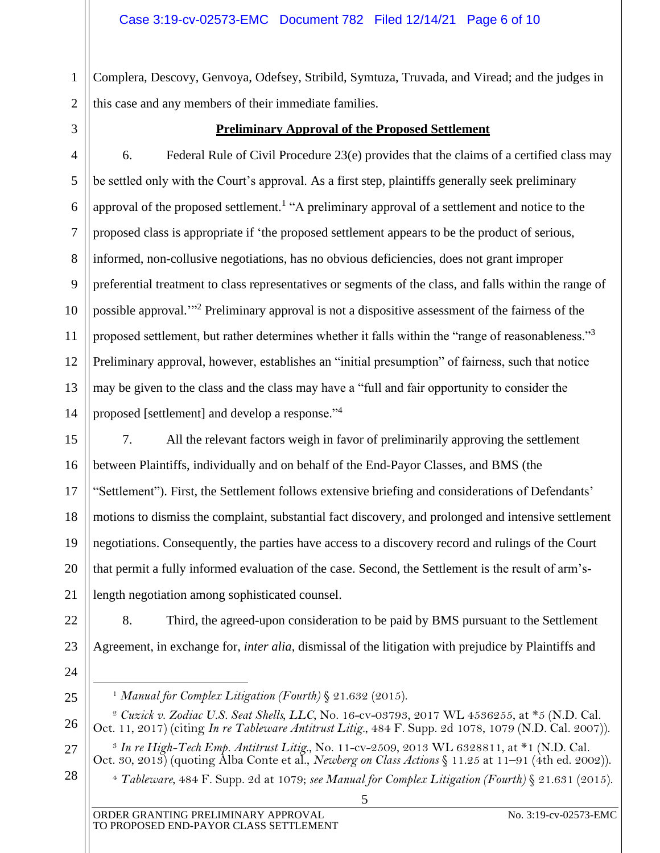1  $\mathcal{D}_{\mathcal{L}}$ Complera, Descovy, Genvoya, Odefsey, Stribild, Symtuza, Truvada, and Viread; and the judges in this case and any members of their immediate families.

3

## **Preliminary Approval of the Proposed Settlement**

4 5 6 7 8 9 10 11 12 13 14 6. Federal Rule of Civil Procedure 23(e) provides that the claims of a certified class may be settled only with the Court's approval. As a first step, plaintiffs generally seek preliminary approval of the proposed settlement.<sup>1</sup> "A preliminary approval of a settlement and notice to the proposed class is appropriate if 'the proposed settlement appears to be the product of serious, informed, non-collusive negotiations, has no obvious deficiencies, does not grant improper preferential treatment to class representatives or segments of the class, and falls within the range of possible approval."<sup>2</sup> Preliminary approval is not a dispositive assessment of the fairness of the proposed settlement, but rather determines whether it falls within the "range of reasonableness."<sup>3</sup> Preliminary approval, however, establishes an "initial presumption" of fairness, such that notice may be given to the class and the class may have a "full and fair opportunity to consider the proposed [settlement] and develop a response."<sup>4</sup>

15 16 17 18 19 20 21 7. All the relevant factors weigh in favor of preliminarily approving the settlement between Plaintiffs, individually and on behalf of the End-Payor Classes, and BMS (the "Settlement"). First, the Settlement follows extensive briefing and considerations of Defendants' motions to dismiss the complaint, substantial fact discovery, and prolonged and intensive settlement negotiations. Consequently, the parties have access to a discovery record and rulings of the Court that permit a fully informed evaluation of the case. Second, the Settlement is the result of arm'slength negotiation among sophisticated counsel.

22 23 8. Third, the agreed-upon consideration to be paid by BMS pursuant to the Settlement Agreement, in exchange for, *inter alia*, dismissal of the litigation with prejudice by Plaintiffs and

24

<sup>1</sup> *Manual for Complex Litigation (Fourth)* § 21.632 (2015).

<sup>26</sup> <sup>2</sup> *Cuzick v. Zodiac U.S. Seat Shells, LLC*, No. 16-cv-03793, 2017 WL 4536255, at \*5 (N.D. Cal. Oct. 11, 2017) (citing *In re Tableware Antitrust Litig.*, 484 F. Supp. 2d 1078, 1079 (N.D. Cal. 2007)).

<sup>27</sup> <sup>3</sup> *In re High-Tech Emp. Antitrust Litig*., No. 11-cv-2509, 2013 WL 6328811, at \*1 (N.D. Cal. Oct. 30, 2013) (quoting Alba Conte et al., *Newberg on Class Actions* § 11.25 at 11–91 (4th ed. 2002)).

<sup>28</sup> <sup>4</sup> *Tableware*, 484 F. Supp. 2d at 1079; *see Manual for Complex Litigation (Fourth)* § 21.631 (2015).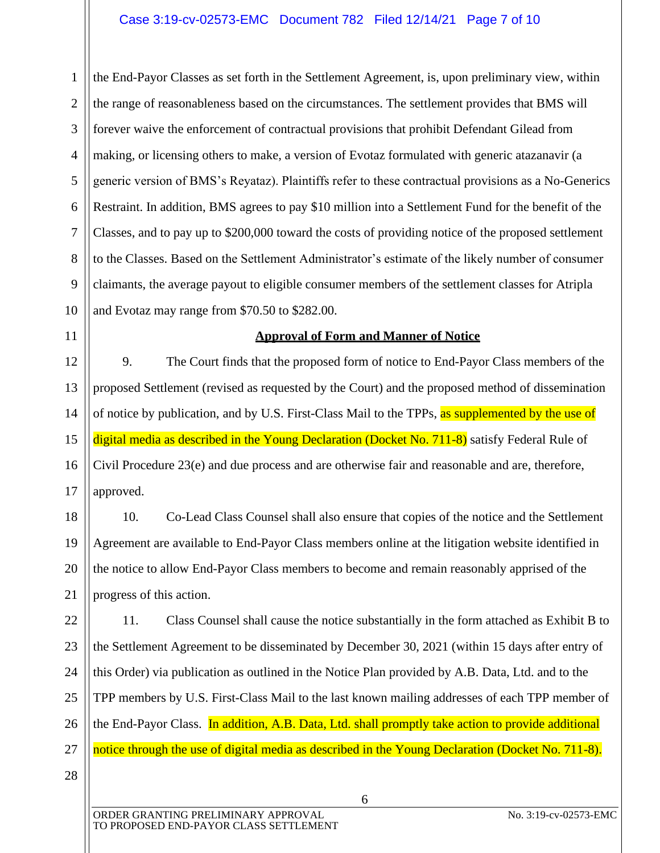1  $\mathcal{D}_{\mathcal{L}}$ 3 4 5 6 7 8 9 10 the End-Payor Classes as set forth in the Settlement Agreement, is, upon preliminary view, within the range of reasonableness based on the circumstances. The settlement provides that BMS will forever waive the enforcement of contractual provisions that prohibit Defendant Gilead from making, or licensing others to make, a version of Evotaz formulated with generic atazanavir (a generic version of BMS's Reyataz). Plaintiffs refer to these contractual provisions as a No-Generics Restraint. In addition, BMS agrees to pay \$10 million into a Settlement Fund for the benefit of the Classes, and to pay up to \$200,000 toward the costs of providing notice of the proposed settlement to the Classes. Based on the Settlement Administrator's estimate of the likely number of consumer claimants, the average payout to eligible consumer members of the settlement classes for Atripla and Evotaz may range from \$70.50 to \$282.00.

11

## **Approval of Form and Manner of Notice**

12 13 14 15 16 17 9. The Court finds that the proposed form of notice to End-Payor Class members of the proposed Settlement (revised as requested by the Court) and the proposed method of dissemination of notice by publication, and by U.S. First-Class Mail to the TPPs, as supplemented by the use of digital media as described in the Young Declaration (Docket No. 711-8) satisfy Federal Rule of Civil Procedure 23(e) and due process and are otherwise fair and reasonable and are, therefore, approved.

18 19 20 21 10. Co-Lead Class Counsel shall also ensure that copies of the notice and the Settlement Agreement are available to End-Payor Class members online at the litigation website identified in the notice to allow End-Payor Class members to become and remain reasonably apprised of the progress of this action.

22 23 24 25 26 27 11. Class Counsel shall cause the notice substantially in the form attached as Exhibit B to the Settlement Agreement to be disseminated by December 30, 2021 (within 15 days after entry of this Order) via publication as outlined in the Notice Plan provided by A.B. Data, Ltd. and to the TPP members by U.S. First-Class Mail to the last known mailing addresses of each TPP member of the End-Payor Class. In addition, A.B. Data, Ltd. shall promptly take action to provide additional notice through the use of digital media as described in the Young Declaration (Docket No. 711-8).

6

28

ORDER GRANTING PRELIMINARY APPROVAL NO. 3:19-cv-02573-EMC TO PROPOSED END-PAYOR CLASS SETTLEMENT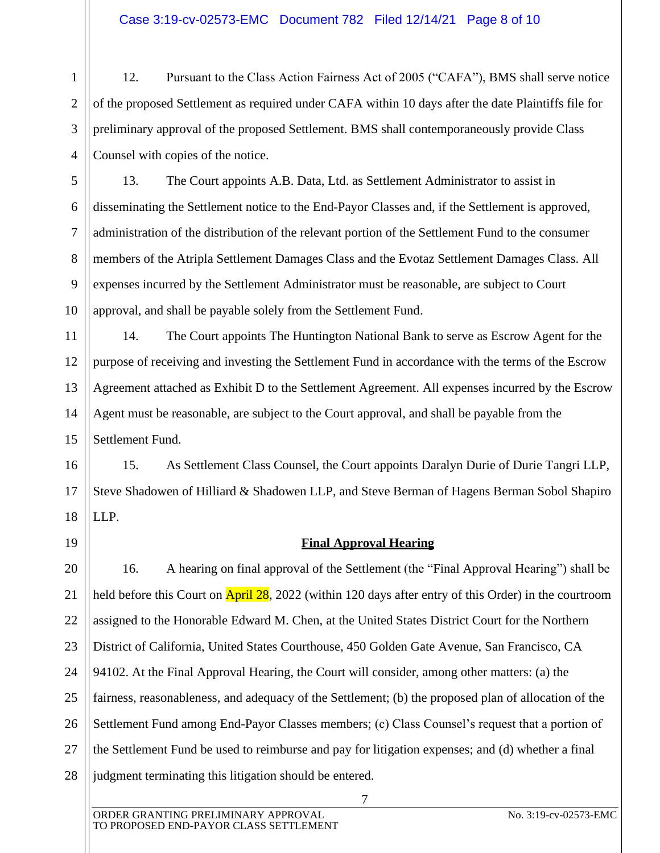## Case 3:19-cv-02573-EMC Document 782 Filed 12/14/21 Page 8 of 10

1  $\mathcal{L}$ 3 4 12. Pursuant to the Class Action Fairness Act of 2005 ("CAFA"), BMS shall serve notice of the proposed Settlement as required under CAFA within 10 days after the date Plaintiffs file for preliminary approval of the proposed Settlement. BMS shall contemporaneously provide Class Counsel with copies of the notice.

5 6 7 8 9 10 13. The Court appoints A.B. Data, Ltd. as Settlement Administrator to assist in disseminating the Settlement notice to the End-Payor Classes and, if the Settlement is approved, administration of the distribution of the relevant portion of the Settlement Fund to the consumer members of the Atripla Settlement Damages Class and the Evotaz Settlement Damages Class. All expenses incurred by the Settlement Administrator must be reasonable, are subject to Court approval, and shall be payable solely from the Settlement Fund.

11 12 13 14 15 14. The Court appoints The Huntington National Bank to serve as Escrow Agent for the purpose of receiving and investing the Settlement Fund in accordance with the terms of the Escrow Agreement attached as Exhibit D to the Settlement Agreement. All expenses incurred by the Escrow Agent must be reasonable, are subject to the Court approval, and shall be payable from the Settlement Fund.

16 17 18 15. As Settlement Class Counsel, the Court appoints Daralyn Durie of Durie Tangri LLP, Steve Shadowen of Hilliard & Shadowen LLP, and Steve Berman of Hagens Berman Sobol Shapiro LLP.

19

## **Final Approval Hearing**

20 21 22 23 24 25 26 27 28 16. A hearing on final approval of the Settlement (the "Final Approval Hearing") shall be held before this Court on **April 28**, 2022 (within 120 days after entry of this Order) in the courtroom assigned to the Honorable Edward M. Chen, at the United States District Court for the Northern District of California, United States Courthouse, 450 Golden Gate Avenue, San Francisco, CA 94102. At the Final Approval Hearing, the Court will consider, among other matters: (a) the fairness, reasonableness, and adequacy of the Settlement; (b) the proposed plan of allocation of the Settlement Fund among End-Payor Classes members; (c) Class Counsel's request that a portion of the Settlement Fund be used to reimburse and pay for litigation expenses; and (d) whether a final judgment terminating this litigation should be entered.

7

ORDER GRANTING PRELIMINARY APPROVAL No. 3:19-cv-02573-EMC TO PROPOSED END-PAYOR CLASS SETTLEMENT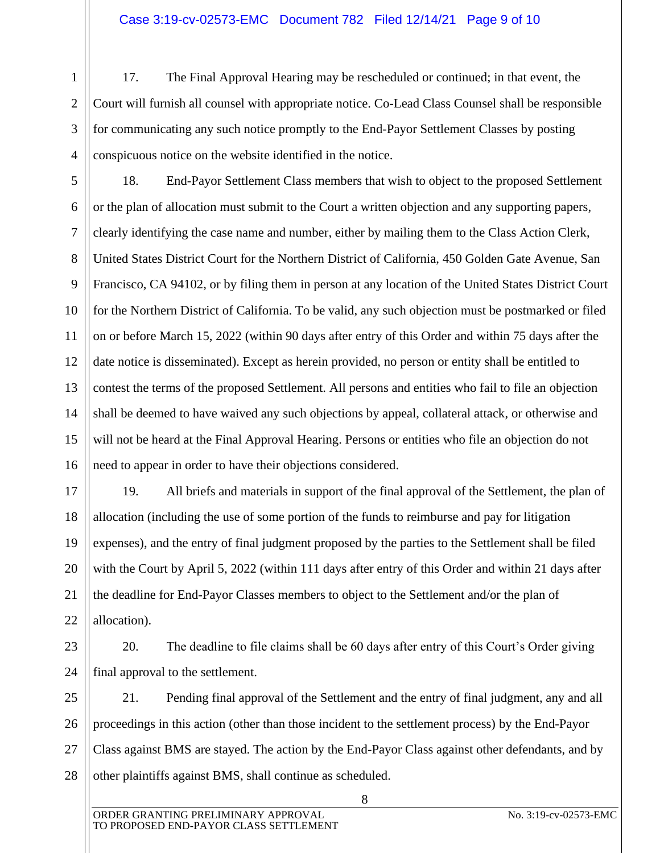1  $\mathcal{L}$ 3 4 17. The Final Approval Hearing may be rescheduled or continued; in that event, the Court will furnish all counsel with appropriate notice. Co-Lead Class Counsel shall be responsible for communicating any such notice promptly to the End-Payor Settlement Classes by posting conspicuous notice on the website identified in the notice.

5 6 7 8 9 10 11 12 13 14 15 16 18. End-Payor Settlement Class members that wish to object to the proposed Settlement or the plan of allocation must submit to the Court a written objection and any supporting papers, clearly identifying the case name and number, either by mailing them to the Class Action Clerk, United States District Court for the Northern District of California, 450 Golden Gate Avenue, San Francisco, CA 94102, or by filing them in person at any location of the United States District Court for the Northern District of California. To be valid, any such objection must be postmarked or filed on or before March 15, 2022 (within 90 days after entry of this Order and within 75 days after the date notice is disseminated). Except as herein provided, no person or entity shall be entitled to contest the terms of the proposed Settlement. All persons and entities who fail to file an objection shall be deemed to have waived any such objections by appeal, collateral attack, or otherwise and will not be heard at the Final Approval Hearing. Persons or entities who file an objection do not need to appear in order to have their objections considered.

17 18 19 20 21 22 19. All briefs and materials in support of the final approval of the Settlement, the plan of allocation (including the use of some portion of the funds to reimburse and pay for litigation expenses), and the entry of final judgment proposed by the parties to the Settlement shall be filed with the Court by April 5, 2022 (within 111 days after entry of this Order and within 21 days after the deadline for End-Payor Classes members to object to the Settlement and/or the plan of allocation).

23 24 20. The deadline to file claims shall be 60 days after entry of this Court's Order giving final approval to the settlement.

25 26 27 28 21. Pending final approval of the Settlement and the entry of final judgment, any and all proceedings in this action (other than those incident to the settlement process) by the End-Payor Class against BMS are stayed. The action by the End-Payor Class against other defendants, and by other plaintiffs against BMS, shall continue as scheduled.